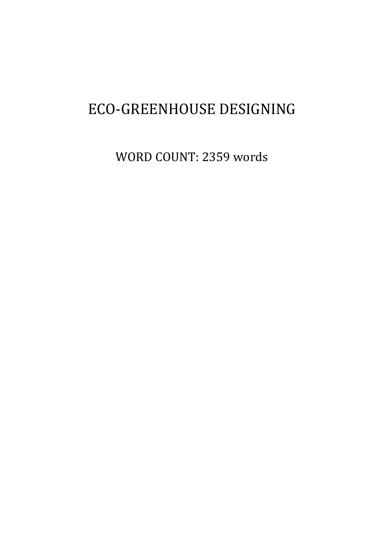# ECO-GREENHOUSE DESIGNING

WORD COUNT: 2359 words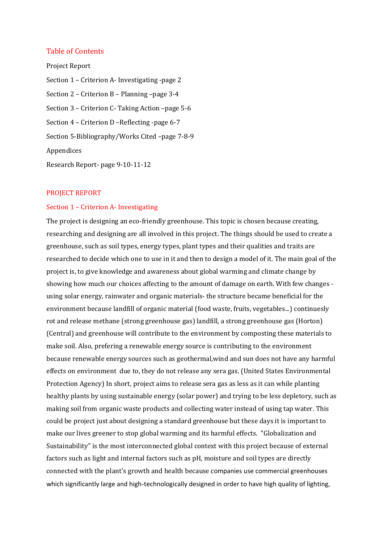## Table of Contents

Project Report Section 1 – Criterion A- Investigating -page 2 Section 2 – Criterion B – Planning –page 3-4 Section 3 – Criterion C- Taking Action –page 5-6 Section 4 – Criterion D –Reflecting -page 6-7 Section 5-Bibliography/Works Cited –page 7-8-9 Appendices Research Report- page 9-10-11-12

#### PROJECT REPORT

#### Section 1 – Criterion A- Investigating

The project is designing an eco-friendly greenhouse. This topic is chosen because creating, researching and designing are all involved in this project. The things should be used to create a greenhouse, such as soil types, energy types, plant types and their qualities and traits are researched to decide which one to use in it and then to design a model of it. The main goal of the project is, to give knowledge and awareness about global warming and climate change by showing how much our choices affecting to the amount of damage on earth. With few changes using solar energy, rainwater and organic materials- the structure became beneficial for the environment because landfill of organic material (food waste, fruits, vegetables...) continuesly rot and release methane (strong greenhouse gas) landfill, a strong greenhouse gas (Horton) (Central) and greenhouse will contribute to the environment by composting these materials to make soil. Also, prefering a renewable energy source is contributing to the environment because renewable energy sources such as geothermal,wind and sun does not have any harmful effects on environment due to, they do not release any sera gas. (United States Environmental Protection Agency) In short, project aims to release sera gas as less as it can while planting healthy plants by using sustainable energy (solar power) and trying to be less depletory, such as making soil from organic waste products and collecting water instead of using tap water. This could be project just about designing a standard greenhouse but these days it is important to make our lives greener to stop global warming and its harmful effects. "Globalization and Sustainability" is the most interconnected global context with this project because of external factors such as light and internal factors such as pH, moisture and soil types are directly connected with the plant's growth and health because companies use commercial greenhouses which significantly large and high-technologically designed in order to have high quality of lighting,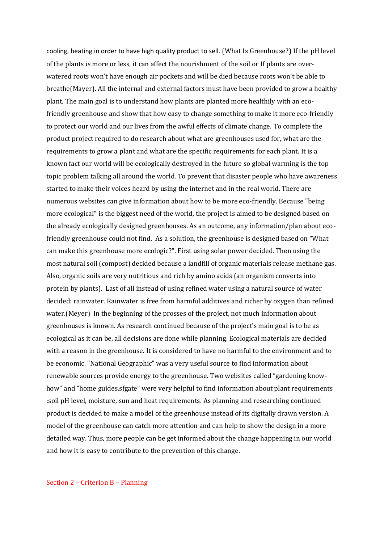cooling, heating in order to have high quality product to sell. (What Is Greenhouse?) If the pH level of the plants is more or less, it can affect the nourishment of the soil or If plants are overwatered roots won't have enough air pockets and will be died because roots won't be able to breathe(Mayer). All the internal and external factors must have been provided to grow a healthy plant. The main goal is to understand how plants are planted more healthily with an ecofriendly greenhouse and show that how easy to change something to make it more eco-friendly to protect our world and our lives from the awful effects of climate change. To complete the product project required to do research about what are greenhouses used for, what are the requirements to grow a plant and what are the specific requirements for each plant. It is a known fact our world will be ecologically destroyed in the future so global warming is the top topic problem talking all around the world. To prevent that disaster people who have awareness started to make their voices heard by using the internet and in the real world. There are numerous websites can give information about how to be more eco-friendly. Because "being more ecological" is the biggest need of the world, the project is aimed to be designed based on the already ecologically designed greenhouses. As an outcome, any information/plan about ecofriendly greenhouse could not find. As a solution, the greenhouse is designed based on "What can make this greenhouse more ecologic?". First using solar power decided. Then using the most natural soil (compost) decided because a landfill of organic materials release methane gas. Also, organic soils are very nutritious and rich by amino acids (an organism converts into protein by plants). Last of all instead of using refined water using a natural source of water decided: rainwater. Rainwater is free from harmful additives and richer by oxygen than refined water.(Meyer) In the beginning of the prosses of the project, not much information about greenhouses is known. As research continued because of the project's main goal is to be as ecological as it can be, all decisions are done while planning. Ecological materials are decided with a reason in the greenhouse. It is considered to have no harmful to the environment and to be economic. "National Geographic" was a very useful source to find information about renewable sources provide energy to the greenhouse. Two websites called "gardening knowhow" and "home guides.sfgate" were very helpful to find information about plant requirements :soil pH level, moisture, sun and heat requirements. As planning and researching continued product is decided to make a model of the greenhouse instead of its digitally drawn version. A model of the greenhouse can catch more attention and can help to show the design in a more detailed way. Thus, more people can be get informed about the change happening in our world and how it is easy to contribute to the prevention of this change.

#### Section 2 – Criterion B – Planning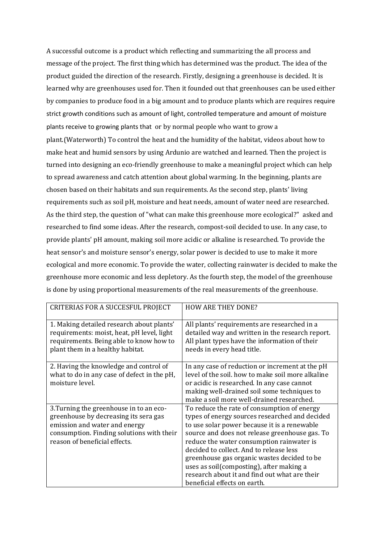A successful outcome is a product which reflecting and summarizing the all process and message of the project. The first thing which has determined was the product. The idea of the product guided the direction of the research. Firstly, designing a greenhouse is decided. It is learned why are greenhouses used for. Then it founded out that greenhouses can be used either by companies to produce food in a big amount and to produce plants which are requires require strict growth conditions such as amount of light, controlled temperature and amount of moisture plants receive to growing plants that or by normal people who want to grow a plant.(Waterworth) To control the heat and the humidity of the habitat, videos about how to make heat and humid sensors by using Ardunio are watched and learned. Then the project is turned into designing an eco-friendly greenhouse to make a meaningful project which can help to spread awareness and catch attention about global warming. In the beginning, plants are chosen based on their habitats and sun requirements. As the second step, plants' living requirements such as soil pH, moisture and heat needs, amount of water need are researched. As the third step, the question of "what can make this greenhouse more ecological?" asked and researched to find some ideas. After the research, compost-soil decided to use. In any case, to provide plants' pH amount, making soil more acidic or alkaline is researched. To provide the heat sensor's and moisture sensor's energy, solar power is decided to use to make it more ecological and more economic. To provide the water, collecting rainwater is decided to make the greenhouse more economic and less depletory. As the fourth step, the model of the greenhouse is done by using proportional measurements of the real measurements of the greenhouse.

| CRITERIAS FOR A SUCCESFUL PROJECT                                                                                                                                                               | <b>HOW ARE THEY DONE?</b>                                                                                                                                                                                                                                                                                                                                                                                                                                           |
|-------------------------------------------------------------------------------------------------------------------------------------------------------------------------------------------------|---------------------------------------------------------------------------------------------------------------------------------------------------------------------------------------------------------------------------------------------------------------------------------------------------------------------------------------------------------------------------------------------------------------------------------------------------------------------|
| 1. Making detailed research about plants'<br>requirements: moist, heat, pH level, light<br>requirements. Being able to know how to<br>plant them in a healthy habitat.                          | All plants' requirements are researched in a<br>detailed way and written in the research report.<br>All plant types have the information of their<br>needs in every head title.                                                                                                                                                                                                                                                                                     |
| 2. Having the knowledge and control of<br>what to do in any case of defect in the pH,<br>moisture level.                                                                                        | In any case of reduction or increment at the pH<br>level of the soil, how to make soil more alkaline<br>or acidic is researched. In any case cannot<br>making well-drained soil some techniques to<br>make a soil more well-drained researched.                                                                                                                                                                                                                     |
| 3. Turning the greenhouse in to an eco-<br>greenhouse by decreasing its sera gas<br>emission and water and energy<br>consumption. Finding solutions with their<br>reason of beneficial effects. | To reduce the rate of consumption of energy<br>types of energy sources researched and decided<br>to use solar power because it is a renewable<br>source and does not release greenhouse gas. To<br>reduce the water consumption rainwater is<br>decided to collect. And to release less<br>greenhouse gas organic wastes decided to be<br>uses as soil(composting), after making a<br>research about it and find out what are their<br>beneficial effects on earth. |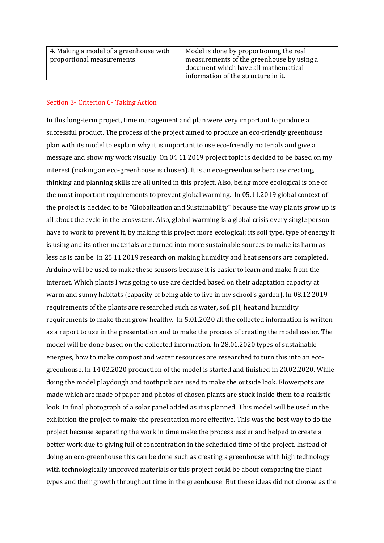| 4. Making a model of a greenhouse with | Model is done by proportioning the real   |
|----------------------------------------|-------------------------------------------|
| proportional measurements.             | measurements of the greenhouse by using a |
|                                        | document which have all mathematical      |
|                                        | information of the structure in it.       |

## Section 3- Criterion C- Taking Action

In this long-term project, time management and plan were very important to produce a successful product. The process of the project aimed to produce an eco-friendly greenhouse plan with its model to explain why it is important to use eco-friendly materials and give a message and show my work visually. On 04.11.2019 project topic is decided to be based on my interest (making an eco-greenhouse is chosen). It is an eco-greenhouse because creating, thinking and planning skills are all united in this project. Also, being more ecological is one of the most important requirements to prevent global warming. In 05.11.2019 global context of the project is decided to be "Globalization and Sustainability" because the way plants grow up is all about the cycle in the ecosystem. Also, global warming is a global crisis every single person have to work to prevent it, by making this project more ecological; its soil type, type of energy it is using and its other materials are turned into more sustainable sources to make its harm as less as is can be. In 25.11.2019 research on making humidity and heat sensors are completed. Arduino will be used to make these sensors because it is easier to learn and make from the internet. Which plants I was going to use are decided based on their adaptation capacity at warm and sunny habitats (capacity of being able to live in my school's garden). In 08.12.2019 requirements of the plants are researched such as water, soil pH, heat and humidity requirements to make them grow healthy. In 5.01.2020 all the collected information is written as a report to use in the presentation and to make the process of creating the model easier. The model will be done based on the collected information. In 28.01.2020 types of sustainable energies, how to make compost and water resources are researched to turn this into an ecogreenhouse. In 14.02.2020 production of the model is started and finished in 20.02.2020. While doing the model playdough and toothpick are used to make the outside look. Flowerpots are made which are made of paper and photos of chosen plants are stuck inside them to a realistic look. In final photograph of a solar panel added as it is planned. This model will be used in the exhibition the project to make the presentation more effective. This was the best way to do the project because separating the work in time make the process easier and helped to create a better work due to giving full of concentration in the scheduled time of the project. Instead of doing an eco-greenhouse this can be done such as creating a greenhouse with high technology with technologically improved materials or this project could be about comparing the plant types and their growth throughout time in the greenhouse. But these ideas did not choose as the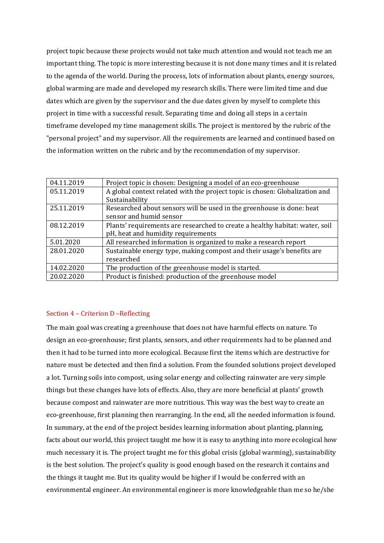project topic because these projects would not take much attention and would not teach me an important thing. The topic is more interesting because it is not done many times and it is related to the agenda of the world. During the process, lots of information about plants, energy sources, global warming are made and developed my research skills. There were limited time and due dates which are given by the supervisor and the due dates given by myself to complete this project in time with a successful result. Separating time and doing all steps in a certain timeframe developed my time management skills. The project is mentored by the rubric of the "personal project" and my supervisor. All the requirements are learned and continued based on the information written on the rubric and by the recommendation of my supervisor.

| 04.11.2019 | Project topic is chosen: Designing a model of an eco-greenhouse              |
|------------|------------------------------------------------------------------------------|
| 05.11.2019 | A global context related with the project topic is chosen: Globalization and |
|            | Sustainability                                                               |
| 25.11.2019 | Researched about sensors will be used in the greenhouse is done: heat        |
|            | sensor and humid sensor                                                      |
| 08.12.2019 | Plants' requirements are researched to create a healthy habitat: water, soil |
|            | pH, heat and humidity requirements                                           |
| 5.01.2020  | All researched information is organized to make a research report            |
| 28.01.2020 | Sustainable energy type, making compost and their usage's benefits are       |
|            | researched                                                                   |
| 14.02.2020 | The production of the greenhouse model is started.                           |
| 20.02.2020 | Product is finished: production of the greenhouse model                      |

## Section 4 – Criterion D –Reflecting

The main goal was creating a greenhouse that does not have harmful effects on nature. To design an eco-greenhouse; first plants, sensors, and other requirements had to be planned and then it had to be turned into more ecological. Because first the items which are destructive for nature must be detected and then find a solution. From the founded solutions project developed a lot. Turning soils into compost, using solar energy and collecting rainwater are very simple things but these changes have lots of effects. Also, they are more beneficial at plants' growth because compost and rainwater are more nutritious. This way was the best way to create an eco-greenhouse, first planning then rearranging. In the end, all the needed information is found. In summary, at the end of the project besides learning information about planting, planning, facts about our world, this project taught me how it is easy to anything into more ecological how much necessary it is. The project taught me for this global crisis (global warming), sustainability is the best solution. The project's quality is good enough based on the research it contains and the things it taught me. But its quality would be higher if I would be conferred with an environmental engineer. An environmental engineer is more knowledgeable than me so he/she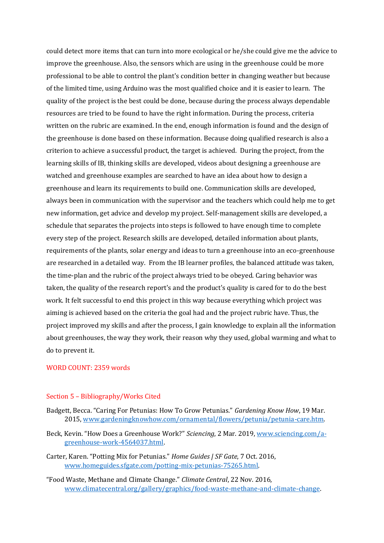could detect more items that can turn into more ecological or he/she could give me the advice to improve the greenhouse. Also, the sensors which are using in the greenhouse could be more professional to be able to control the plant's condition better in changing weather but because of the limited time, using Arduino was the most qualified choice and it is easier to learn. The quality of the project is the best could be done, because during the process always dependable resources are tried to be found to have the right information. During the process, criteria written on the rubric are examined. In the end, enough information is found and the design of the greenhouse is done based on these information. Because doing qualified research is also a criterion to achieve a successful product, the target is achieved. During the project, from the learning skills of IB, thinking skills are developed, videos about designing a greenhouse are watched and greenhouse examples are searched to have an idea about how to design a greenhouse and learn its requirements to build one. Communication skills are developed, always been in communication with the supervisor and the teachers which could help me to get new information, get advice and develop my project. Self-management skills are developed, a schedule that separates the projects into steps is followed to have enough time to complete every step of the project. Research skills are developed, detailed information about plants, requirements of the plants, solar energy and ideas to turn a greenhouse into an eco-greenhouse are researched in a detailed way. From the IB learner profiles, the balanced attitude was taken, the time-plan and the rubric of the project always tried to be obeyed. Caring behavior was taken, the quality of the research report's and the product's quality is cared for to do the best work. It felt successful to end this project in this way because everything which project was aiming is achieved based on the criteria the goal had and the project rubric have. Thus, the project improved my skills and after the process, I gain knowledge to explain all the information about greenhouses, the way they work, their reason why they used, global warming and what to do to prevent it.

#### WORD COUNT: 2359 words

### Section 5 – Bibliography/Works Cited

- Badgett, Becca. "Caring For Petunias: How To Grow Petunias." *Gardening Know How*, 19 Mar. 2015, www.gardeningknowhow.com/ornamental/flowers/petunia/petunia-care.htm.
- Beck, Kevin. "How Does a Greenhouse Work?" *Sciencing*, 2 Mar. 2019, [www.sciencing.com/a](http://www.sciencing.com/a-greenhouse-work-4564037.html)[greenhouse-work-4564037.html.](http://www.sciencing.com/a-greenhouse-work-4564037.html)

Carter, Karen. "Potting Mix for Petunias." *Home Guides | SF Gate*, 7 Oct. 2016, [www.homeguides.sfgate.com/potting-mix-petunias-75265.html.](http://www.homeguides.sfgate.com/potting-mix-petunias-75265.html)

"Food Waste, Methane and Climate Change." *Climate Central*, 22 Nov. 2016, [www.climatecentral.org/gallery/graphics/food-waste-methane-and-climate-change.](http://www.climatecentral.org/gallery/graphics/food-waste-methane-and-climate-change)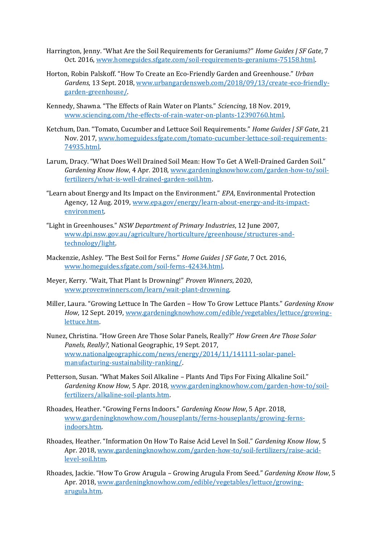- Harrington, Jenny. "What Are the Soil Requirements for Geraniums?" *Home Guides | SF Gate*, 7 Oct. 2016, [www.homeguides.sfgate.com/soil-requirements-geraniums-75158.html.](http://www.homeguides.sfgate.com/soil-requirements-geraniums-75158.html)
- Horton, Robin Palskoff. "How To Create an Eco-Friendly Garden and Greenhouse." *Urban Gardens*, 13 Sept. 2018[, www.urbangardensweb.com/2018/09/13/create-eco-friendly](http://www.urbangardensweb.com/2018/09/13/create-eco-friendly-garden-greenhouse/)[garden-greenhouse/.](http://www.urbangardensweb.com/2018/09/13/create-eco-friendly-garden-greenhouse/)
- Kennedy, Shawna. "The Effects of Rain Water on Plants." *Sciencing*, 18 Nov. 2019, [www.sciencing.com/the-effects-of-rain-water-on-plants-12390760.html.](http://www.sciencing.com/the-effects-of-rain-water-on-plants-12390760.html)
- Ketchum, Dan. "Tomato, Cucumber and Lettuce Soil Requirements." *Home Guides | SF Gate*, 21 Nov. 2017, [www.homeguides.sfgate.com/tomato-cucumber-lettuce-soil-requirements-](http://www.homeguides.sfgate.com/tomato-cucumber-lettuce-soil-requirements-74935.html)[74935.html.](http://www.homeguides.sfgate.com/tomato-cucumber-lettuce-soil-requirements-74935.html)
- Larum, Dracy. "What Does Well Drained Soil Mean: How To Get A Well-Drained Garden Soil." *Gardening Know How*, 4 Apr. 2018[, www.gardeningknowhow.com/garden-how-to/soil](http://www.gardeningknowhow.com/garden-how-to/soil-fertilizers/what-is-well-drained-garden-soil.htm)[fertilizers/what-is-well-drained-garden-soil.htm.](http://www.gardeningknowhow.com/garden-how-to/soil-fertilizers/what-is-well-drained-garden-soil.htm)
- "Learn about Energy and Its Impact on the Environment." *EPA*, Environmental Protection Agency, 12 Aug. 2019, www.epa.gov/energy/learn-about-energy-and-its-impactenvironment.
- "Light in Greenhouses." *NSW Department of Primary Industries*, 12 June 2007, www.dpi.nsw.gov.au/agriculture/horticulture/greenhouse/structures-andtechnology/light.
- Mackenzie, Ashley. "The Best Soil for Ferns." *Home Guides | SF Gate*, 7 Oct. 2016, [www.homeguides.sfgate.com/soil-ferns-42434.html.](http://www.homeguides.sfgate.com/soil-ferns-42434.html)
- Meyer, Kerry. "Wait, That Plant Is Drowning!" *Proven Winners*, 2020, www.provenwinners.com/learn/wait-plant-drowning.
- Miller, Laura. "Growing Lettuce In The Garden How To Grow Lettuce Plants." *Gardening Know How*, 12 Sept. 2019, www.gardeningknowhow.com/edible/vegetables/lettuce/growinglettuce.htm.
- Nunez, Christina. "How Green Are Those Solar Panels, Really?" *How Green Are Those Solar Panels, Really?*, National Geographic, 19 Sept. 2017, www.nationalgeographic.com/news/energy/2014/11/141111-solar-panelmanufacturing-sustainability-ranking/.
- Petterson, Susan. "What Makes Soil Alkaline Plants And Tips For Fixing Alkaline Soil." *Gardening Know How*, 5 Apr. 2018, www.gardeningknowhow.com/garden-how-to/soilfertilizers/alkaline-soil-plants.htm.
- Rhoades, Heather. "Growing Ferns Indoors." *Gardening Know How*, 5 Apr. 2018, www.gardeningknowhow.com/houseplants/ferns-houseplants/growing-fernsindoors.htm.
- Rhoades, Heather. "Information On How To Raise Acid Level In Soil." *Gardening Know How*, 5 Apr. 2018, www.gardeningknowhow.com/garden-how-to/soil-fertilizers/raise-acidlevel-soil.htm.
- Rhoades, Jackie. "How To Grow Arugula Growing Arugula From Seed." *Gardening Know How*, 5 Apr. 2018, www.gardeningknowhow.com/edible/vegetables/lettuce/growingarugula.htm.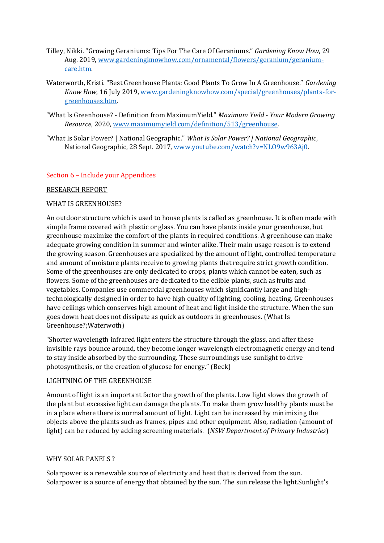- Tilley, Nikki. "Growing Geraniums: Tips For The Care Of Geraniums." *Gardening Know How*, 29 Aug. 2019, www.gardeningknowhow.com/ornamental/flowers/geranium/geraniumcare.htm.
- Waterworth, Kristi. "Best Greenhouse Plants: Good Plants To Grow In A Greenhouse." *Gardening Know How*, 16 July 2019, www.gardeningknowhow.com/special/greenhouses/plants-forgreenhouses.htm.
- "What Is Greenhouse? Definition from MaximumYield." *Maximum Yield - Your Modern Growing Resource*, 2020, www.maximumyield.com/definition/513/greenhouse.
- "What Is Solar Power? | National Geographic." *What Is Solar Power? | National Geographic*, National Geographic, 28 Sept. 2017, www.youtube.com/watch?v=NLO9w963Aj0.

# Section 6 – Include your Appendices

## RESEARCH REPORT

## WHAT IS GREENHOUSE?

An outdoor structure which is used to house plants is called as greenhouse. It is often made with simple frame covered with plastic or glass. You can have plants inside your greenhouse, but greenhouse maximize the comfort of the plants in required conditions. A greenhouse can make adequate growing condition in summer and winter alike. Their main usage reason is to extend the growing season. Greenhouses are specialized by the amount of light, controlled temperature and amount of moisture plants receive to growing plants that require strict growth condition. Some of the greenhouses are only dedicated to crops, plants which cannot be eaten, such as flowers. Some of the greenhouses are dedicated to the edible plants, such as fruits and vegetables. Companies use commercial greenhouses which significantly large and hightechnologically designed in order to have high quality of lighting, cooling, heating. Greenhouses have ceilings which conserves high amount of heat and light inside the structure. When the sun goes down heat does not dissipate as quick as outdoors in greenhouses. (What Is Greenhouse?;Waterwoth)

"Shorter wavelength infrared light enters the structure through the glass, and after these invisible rays bounce around, they become longer wavelength electromagnetic energy and tend to stay inside absorbed by the surrounding. These surroundings use sunlight to drive photosynthesis, or the creation of glucose for energy." (Beck)

#### LIGHTNING OF THE GREENHOUSE

Amount of light is an important factor the growth of the plants. Low light slows the growth of the plant but excessive light can damage the plants. To make them grow healthy plants must be in a place where there is normal amount of light. Light can be increased by minimizing the objects above the plants such as frames, pipes and other equipment. Also, radiation (amount of light) can be reduced by adding screening materials. (*NSW Department of Primary Industries*)

## WHY SOLAR PANELS ?

Solarpower is a renewable source of electricity and heat that is derived from the sun. Solarpower is a source of energy that obtained by the sun. The sun release the light.Sunlight's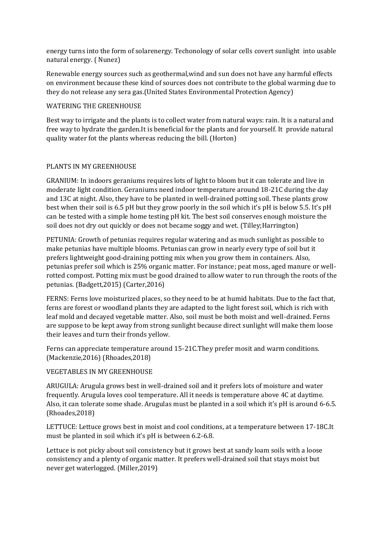energy turns into the form of solarenergy. Techonology of solar cells covert sunlight into usable natural energy. ( Nunez)

Renewable energy sources such as geothermal,wind and sun does not have any harmful effects on environment because these kind of sources does not contribute to the global warming due to they do not release any sera gas.(United States Environmental Protection Agency)

## WATERING THE GREENHOUSE

Best way to irrigate and the plants is to collect water from natural ways: rain. It is a natural and free way to hydrate the garden.It is beneficial for the plants and for yourself. It provide natural quality water fot the plants whereas reducing the bill. (Horton)

# PLANTS IN MY GREENHOUSE

GRANIUM: In indoors geraniums requires lots of light to bloom but it can tolerate and live in moderate light condition. Geraniums need indoor temperature around 18-21C during the day and 13C at night. Also, they have to be planted in well-drained potting soil. These plants grow best when their soil is 6.5 pH but they grow poorly in the soil which it's pH is below 5.5. It's pH can be tested with a simple home testing pH kit. The best soil conserves enough moisture the soil does not dry out quickly or does not became soggy and wet. (Tilley;Harrington)

PETUNIA: Growth of petunias requires regular watering and as much sunlight as possible to make petunias have multiple blooms. Petunias can grow in nearly every type of soil but it prefers lightweight good-draining potting mix when you grow them in containers. Also, petunias prefer soil which is 25% organic matter. For instance; peat moss, aged manure or wellrotted compost. Potting mix must be good drained to allow water to run through the roots of the petunias. (Badgett,2015) (Carter,2016)

FERNS: Ferns love moisturized places, so they need to be at humid habitats. Due to the fact that, ferns are forest or woodland plants they are adapted to the light forest soil, which is rich with leaf mold and decayed vegetable matter. Also, soil must be both moist and well-drained. Ferns are suppose to be kept away from strong sunlight because direct sunlight will make them loose their leaves and turn their fronds yellow.

Ferns can appreciate temperature around 15-21C.They prefer mosit and warm conditions. (Mackenzie,2016) (Rhoades,2018)

# VEGETABLES IN MY GREENHOUSE

ARUGULA: Arugula grows best in well-drained soil and it prefers lots of moisture and water frequently. Arugula loves cool temperature. All it needs is temperature above 4C at daytime. Also, it can tolerate some shade. Arugulas must be planted in a soil which it's pH is around 6-6.5. (Rhoades,2018)

LETTUCE: Lettuce grows best in moist and cool conditions, at a temperature between 17-18C.It must be planted in soil which it's pH is between 6.2-6.8.

Lettuce is not picky about soil consistency but it grows best at sandy loam soils with a loose consistency and a plenty of organic matter. It prefers well-drained soil that stays moist but never get waterlogged. (Miller,2019)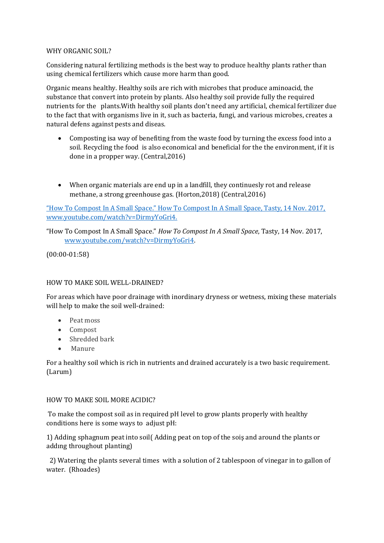# WHY ORGANIC SOIL?

Considering natural fertilizing methods is the best way to produce healthy plants rather than using chemical fertilizers which cause more harm than good.

Organic means healthy. Healthy soils are rich with microbes that produce aminoacid, the substance that convert into protein by plants. Also healthy soil provide fully the required nutrients for the plants.With healthy soil plants don't need any artificial, chemical fertilizer due to the fact that with organisms live in it, such as bacteria, fungi, and various microbes, creates a natural defens against pests and diseas.

- Composting isa way of benefiting from the waste food by turning the excess food into a soil. Recycling the food is also economical and beneficial for the the environment, if it is done in a propper way. (Central,2016)
- When organic materials are end up in a landfill, they continuesly rot and release methane, a strong greenhouse gas. (Horton,2018) (Central,2016)

"How To Compost In A Small Space." How To Compost In A Small Space, Tasty, 14 Nov. 2017, www.youtube.com/watch?v=DirmyYoGri4.

"How To Compost In A Small Space." *How To Compost In A Small Space*, Tasty, 14 Nov. 2017, [www.youtube.com/watch?v=DirmyYoGri4.](http://www.youtube.com/watch?v=DirmyYoGri4)

(00:00-01:58)

# HOW TO MAKE SOIL WELL-DRAINED?

For areas which have poor drainage with inordinary dryness or wetness, mixing these materials will help to make the soil well-drained:

- Peat moss
- Compost
- Shredded bark
- Manure

For a healthy soil which is rich in nutrients and drained accurately is a two basic requirement. (Larum)

# HOW TO MAKE SOIL MORE ACIDIC?

To make the compost soil as in required pH level to grow plants properly with healthy conditions here is some ways to adjust pH:

1) Adding sphagnum peat into soil( Adding peat on top of the soiş and around the plants or addıng throughout planting)

 2) Watering the plants several times with a solution of 2 tablespoon of vinegar in to gallon of water. (Rhoades)